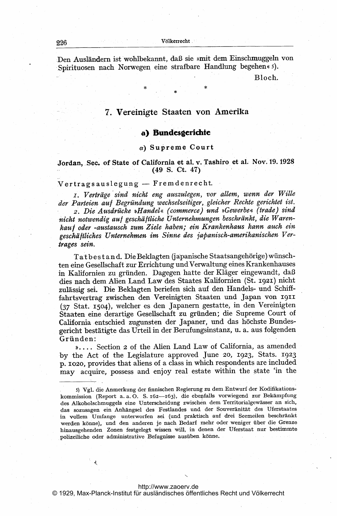Den Ausländern ist wohlbekannt, daß sie »mit dem Einschmuggeln von Spirituosen nach Norwegen eine strafbare Handlung begehen« 5).

Bloch.

# 7. Vereinigte Staaten von Amerika

## a) Bundesgerichte

#### $\alpha$ ) Supreme Court

Jordan, Sec. of State of California et al. v. Tashiro et al. Nov. 19.1928 (49 S. Ct. 47)

### $N$ ertragsauslegung — Fremdenrecht.

i. Verträge'sind nicht eng auszulegen, vor allem, wenn der Wille der Parteien auf Begründung wechselseitiger,\_gleicher Rechte gerichtet ist. 2. Die Ausdrücke »Handel« (commerce) und »Gewerbe« (trade) sind nicht notwendig auf geschäftliche Unternehmungen beschränkt, die Waren-

kauf oder -austausch zum Ziele haben; ein Krankenhaus kann auch ein geschäftliches Unternehmen im Sinne des japanisch-amerikanischen Ver-Irages sein.

Tat bestand. Die Beklagten (japanische Staatsangehörige) wünschten eine Gesellschaft zur Errichtung undVerwaltung eines Krankenhauses in Kalifornien zu gründen. Dagegen hatte der Kläger eingewandt, daß dies nach dem Alien Land Law des Staates Kalifornien (St. 1921) nicht zulässig sei. Die Beklagten beriefen sich auf den Handels- und Schifffahrtsvertrag zwischen den Vereinigten Staaten und Japan von 1911 (37 Stat. 1504), welcher es den Japanern gestatte, in den Vereinigten Staaten eine derartige Gesellschaft zu gründen; die Supreme Court of California,entschied zugunsten der Japaner, und das höchste Bundesgericht bestätigte das Urteil in der Berufungsinstanz, u. a. aus folgenden Gründen:

#.... Section <sup>2</sup> of the Alien Land Law of California, as amended by the Act of the Legislature approved June 2o, 1923, Stats. 1923 p. io2o, provides that aliens of a class in which respondents are included may acquire, possess and enjoy real estate within the state 'in the

© 1929, Max-Planck-Institut für ausländisches öffentliches Recht und Völkerrecht

<sup>5)</sup> Vgl. die Anmerkung der:finnischen Regierung zu dem Entwurf der Kodifikationskommission (Report a. a. 0. S. 162-163), die ebenfalls vorwiegend zur Bekämpfung des Alkoholschmuggels eine Unterscheidung zwischen dem Territorialgewässer an sich, das sozusagen ein Anhängsel des Festlandes und der Souveränität des Uferstaates in vollem Umfange unterworfen sei (und praktisch auf drei Seemeilen beschränkt werden könne), und den anderen je nach Bedarf mehr oder weniger über die Grenze hinausgehenden Zonen festgelegt wissen will, in denen der Uferstaat nur bestimmte polizeiliche oder administrative Befugnisse ausüben könne.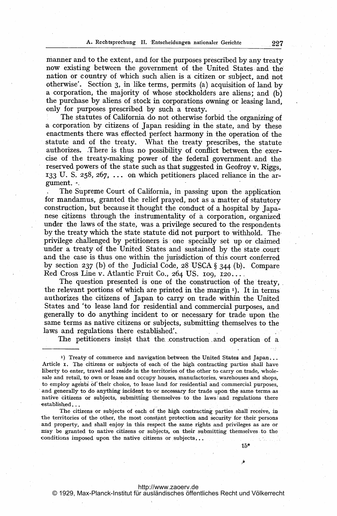manner and to the extent, and for the purposes prescribed by any treaty now existing between the government of the United States and the, nation or country of which such alien is a citizen or subject, and not otherwise'. Section 3, in like terms, permits (a) acquisition of land by a corporation, the majority of whose stockholders are aliens; and (b) the purchase by aliens of stock in corporations owning or leasing land, only for purposes prescribed by such a treaty.

The statutes of California do not otherwise forbid the organizing of a corporation by citizens of Japan residing in the state, and by these enactments there was effected perfect harmony in the operation of the statute and of the treaty. What the treaty prescribes, the statute authorizes., There is thus no possibility of conflict between the exercise of the treaty-making power of the federal government. and the. reserved powers of the state such as that suggested in Geofroy v. Riggs, 133 U. S. 258, 267,  $\dots$  on which petitioners placed reliance in the argument.

The Supreme Court of California; in passing upon the application for mandamus, granted the relief prayed, not as a matter of statutory construction, but because it thought the conduct of a hospital by Japa nese citizens through the instrumentality of a, corporation, organized under the laws of the state, was a privilege secured to the respondents by the treaty which the state statute did not purport to withhold. The privilege challenged by petitioners is one specially set up or claimed under a treaty of the United States and sustained by the state court and the case is thus one within the jurisdiction of this court conferred by section <sup>237</sup> (b) of the judicial Code, <sup>28</sup> USCA § <sup>344</sup> (b). Compare Red Cross Line v. Atlantic Fruit Co., 264 US. 109, 120...

The question presented is one of the construction of the treaty, the relevant portions of which are printed in the margin  $\bar{I}$ ). It in terms authorizes the citizens of Japan to carry on trade within the United States and 'to lease land for residential and commercial purposes, and generally to do anything incident to or necessary for trade upon the same terms as native citizens or subjects, submitting themselves to the laws and regulations there established'..

The petitioners insist that the, construction. and operation of <sup>a</sup>

1) Treaty of commerce and navigation between the United States and Japan... Article  $\mathbf{r}$ . The citizens or subjects of each of the high contracting parties shall have liberty to enter, travel and reside in the territories of the other to carry on trade, wholesale and retail, to own or lease, and occupy houses, manufactories, warehouses and shops,, to employ agents of their choice, to lease land for residential and commercial purposes, and generally to do anything incident to or necessary for trade upon the same terms as native citizens or subjects, submitting themselves to the laws and regulations there established...

The citizens or subjects of each of the high contracting parties shall receive, in the territories of the other, the most constant protection and security for their persons and property, and shall enjoy in this respect the same rights and privileges as are or may be granted to native citizens or subjects, on their submitting themselves to- the conditions imposed upon the native citizens or subjects...

 $15*$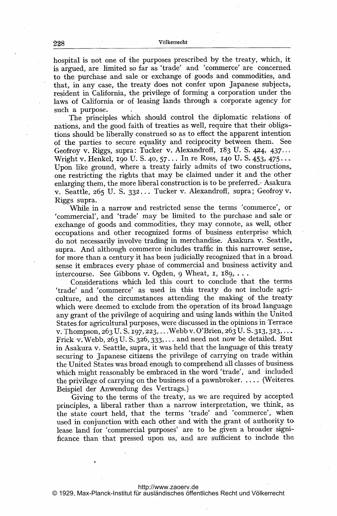hospital is not one of the purposes prescribed by the treaty, which, it is argued, are limited so far as 'trade' and 'commerce' are concerned to the. purchase and sale or exchange of goods and commodities, and that, in any case, the treaty does not confer upon Japanese subjects, resident in California, the privilege of forming a corporation under the laws of California or of leasing lands through a corporate agency forsuch a purpose.

The principles which should control the diplomatic relations of nations, and the good faith of treaties as well, require that their obhga- tions should be liberally construed so as to effect the apparent intention of the parties to secure equality and reciprocity between them. See Geofroy v. Riggs, supra: Tucker v. Alexandroff, 183 U. S. 424, 437... Wright v. Henkel, 190 U. S. 40, 57... In re Ross, 140 U. S. 453, 475... Upon like,ground, where <sup>a</sup> treaty fairly admits of two constructions, one restricting the rights that may be claimed under it and the- other enlarging them, the more liberal construction is to be preferred. Asakura v. Seattle, 265 U. S. 332... Tucker v. Alexandroff, supra; Geofroyv.. Riggs supra.

While in a narrow and restricted sense the terms 'commerce', or 'commercial', and 'trade' may be limited to the purchase and sale or exchange of goods and commodities, they may connote, as well, other occupations and other recognized forms of business enterprise which do not necessarily involve trading in merchandise. Asakura v. Seattle supra. And although commerce includes traffic in this narrower sense, for more than a century it has been judicially recognized that in a broadsense it embraces every phase of commercial and business activity and, intercourse. See Gibbons v. Ogden, 9 Wheat, 1, 189, ...

Considerations which led this court to conclude that the terms 'trade' and 'commerce' as used in this treaty do not include agriculture, and the circumstances attending the making of the treaty which were deemed to exclude from the operation of its broad language. any grant of the privilege of acquiring and using lands within the United States for agricultural purposes, were discussed in the opinions in Terrace v. Thompson,  $263 \text{ U}$ . S. 197, 223, ...Webb v. O'Brien, 263 U. S. 313, 323,... Frick v. Webb, <sup>263</sup> U. S. 326, 333.... and need not now be detailed. But in Asakura v. Seattle, supra, it was held that the language of this treaty securing to Japanese citizens the privilege of carrying on trade within the United States was broad enough to comprehend all classes of business which might reasonably be embraced in the word 'trade', and included the privilege of carrying on the business of a pawnbroker.  $\dots$  (Weiteres Beispiel der Anwendung des Vertrags.)

Giving to the terms of the treaty, as we are required by accepted principles, <sup>a</sup> liberal rather than <sup>a</sup> narrow interpretation, we think, as. the state court held, that the terms 'trade' and 'commerce', when used in conjunction with each other and with the grant of authority to lease. land for 'commercial purposes' are to be given a broader significance than that pressed upon us, and are sufficient to include the

<http://www.zaoerv.de>

© 1929, Max-Planck-Institut für ausländisches öffentliches Recht und Völkerrecht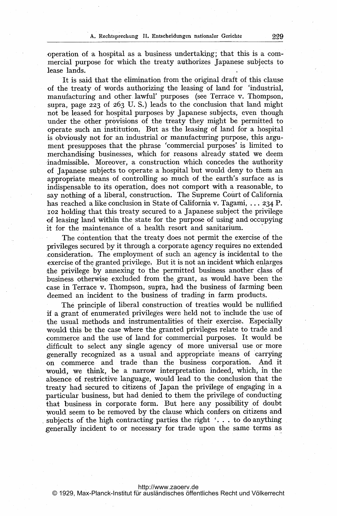operation of a hospital as a business undertaking; that this is a commercial purpose for which the treaty authorizes Japanese subjects to lease lands.

It is said that the elimination from the original draft of this clause of the treaty of words authorizing the leasing of land for 'industrial, manufacturing and other lawful' purposes (see Terrace v. Thompson, supra, page 223 of 263 U.S.) leads to the conclusion that land might not be leased for hospital purposes by Japanese subjects, even though under the other provisions of the treaty they might be permitted to operate such an institution. But as the leasing of land for a hospital is obviously not for an industrial or manufacturing purpose, this argument presupposes that the phrase 'commercial purposes' is limited to merchandising businesses, which for reasons already stated we deem inadmissible.. Moreover, a construction which concedes the authority of Japanese subjects to operate <sup>a</sup> hospital but would deny to them an appropriate means of controlling so much of the earth's surface as is indispensable to its operation, does not comport with a reasonable, to say nothing of <sup>a</sup> liberal, construction. The Supreme Court of California has reached a like conclusion in State of California v. Tagami,  $\dots$  234 P. io?, holding that this treaty secured to a Japanese subject the privilege of leasing land within the state for the purpose of using and occupying it for the maintenance of a health resort and sanitarium.

The contention that the treaty does not permit the exercise of the privileges secured by it through a corporate agency requires no extended .consideration.. The employment of such an agency is incidental to the exercise of the granted privilege. But it is not an incident which enlarges the privilege by annexing to the permitted business another class of business otherwise excluded from the grant, as would have been the case in Terrace v. Thompson, supra, had the business of farming been deemed an incident to the business of trading in farm products.

The principle of liberal construction of treaties would be nullified if a grant of enumerated privileges were held not to'include the'use Of the usual methods and instrumentalities of their exercise. Especially would this be the case where the granted privileges relate to trade and commerce and the use of land for commercial purposes. It would. be -difficult to select any single agency of more universal use or more generally recognized as a usual and appropriate means of carrying on commerce and trade than the business corporation. And it would, we think, be a narrow interpretation indeed, which, in the absence of restrictive language, would lead to the conclusion that the treaty had secured to citizens of Japan the privilege of engaging in a particular business, but had denied to them the privilege of conducting that business in corporate form. But here any Possibility of doubt would seem to be removed by the clause which confers on citizens and subjects of the high contracting parties the right  $\cdot$ ... to do anything generally incident to or necessary for trade upon the same terms as

<http://www.zaoerv.de> © 1929, Max-Planck-Institut für ausländisches öffentliches Recht und Völkerrecht